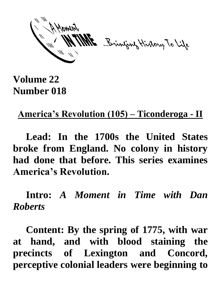ME Brinjang History To Life

## **Volume 22 Number 018**

## **America's Revolution (105) – Ticonderoga - II**

**Lead: In the 1700s the United States broke from England. No colony in history had done that before. This series examines America's Revolution.**

**Intro:** *A Moment in Time with Dan Roberts*

**Content: By the spring of 1775, with war at hand, and with blood staining the precincts of Lexington and Concord, perceptive colonial leaders were beginning to**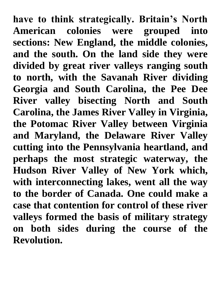**have to think strategically. Britain's North American colonies were grouped into sections: New England, the middle colonies, and the south. On the land side they were divided by great river valleys ranging south to north, with the Savanah River dividing Georgia and South Carolina, the Pee Dee River valley bisecting North and South Carolina, the James River Valley in Virginia, the Potomac River Valley between Virginia and Maryland, the Delaware River Valley cutting into the Pennsylvania heartland, and perhaps the most strategic waterway, the Hudson River Valley of New York which, with interconnecting lakes, went all the way to the border of Canada. One could make a case that contention for control of these river valleys formed the basis of military strategy on both sides during the course of the Revolution.**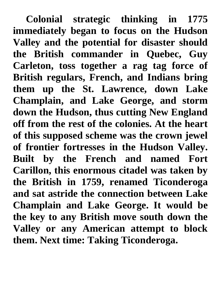**Colonial strategic thinking in 1775 immediately began to focus on the Hudson Valley and the potential for disaster should the British commander in Quebec, Guy Carleton, toss together a rag tag force of British regulars, French, and Indians bring them up the St. Lawrence, down Lake Champlain, and Lake George, and storm down the Hudson, thus cutting New England off from the rest of the colonies. At the heart of this supposed scheme was the crown jewel of frontier fortresses in the Hudson Valley. Built by the French and named Fort Carillon, this enormous citadel was taken by the British in 1759, renamed Ticonderoga and sat astride the connection between Lake Champlain and Lake George. It would be the key to any British move south down the Valley or any American attempt to block them. Next time: Taking Ticonderoga.**